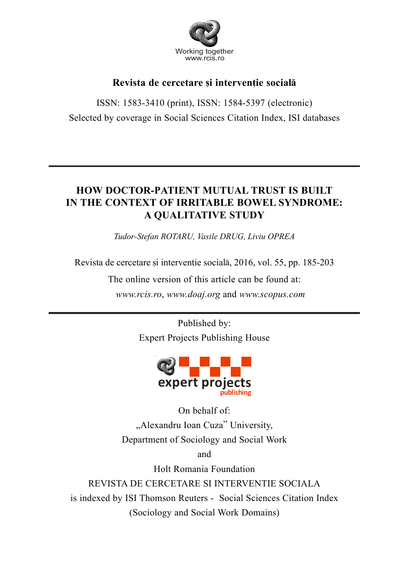

## Revista de cercetare și interventie socială

ISSN: 1583-3410 (print), ISSN: 1584-5397 (electronic) Selected by coverage in Social Sciences Citation Index, ISI databases

# **HOW DOCTOR-PATIENT MUTUAL TRUST IS BUILT IN THE CONTEXT OF IRRITABLE BOWEL SYNDROME: A QUALITATIVE STUDY**

*Tudor-Stefan ROTARU, Vasile DRUG, Liviu OPREA*

Revista de cercetare si interventie socială, 2016, vol. 55, pp. 185-203

The online version of this article can be found at: *www.rcis.ro*, *www.doaj.org* and *www.scopus.com*

> Published by: Expert Projects Publishing House



On behalf of: "Alexandru Ioan Cuza" University, Department of Sociology and Social Work

and

Holt Romania Foundation

REVISTA DE CERCETARE SI INTERVENTIE SOCIALA is indexed by ISI Thomson Reuters - Social Sciences Citation Index (Sociology and Social Work Domains)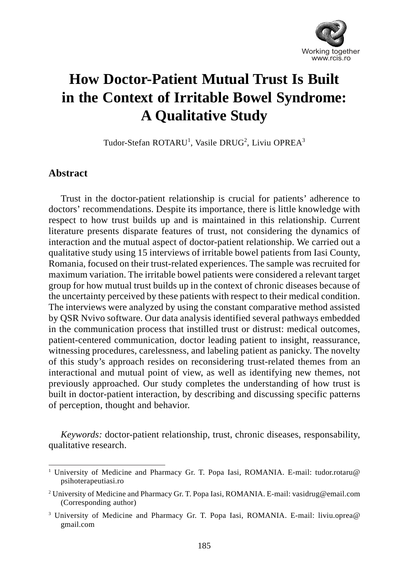

# **How Doctor-Patient Mutual Trust Is Built in the Context of Irritable Bowel Syndrome: A Qualitative Study**

Tudor-Stefan ROTARU<sup>1</sup>, Vasile DRUG<sup>2</sup>, Liviu OPREA<sup>3</sup>

## **Abstract**

Trust in the doctor-patient relationship is crucial for patients' adherence to doctors' recommendations. Despite its importance, there is little knowledge with respect to how trust builds up and is maintained in this relationship. Current literature presents disparate features of trust, not considering the dynamics of interaction and the mutual aspect of doctor-patient relationship. We carried out a qualitative study using 15 interviews of irritable bowel patients from Iasi County, Romania, focused on their trust-related experiences. The sample was recruited for maximum variation. The irritable bowel patients were considered a relevant target group for how mutual trust builds up in the context of chronic diseases because of the uncertainty perceived by these patients with respect to their medical condition. The interviews were analyzed by using the constant comparative method assisted by QSR Nvivo software. Our data analysis identified several pathways embedded in the communication process that instilled trust or distrust: medical outcomes, patient-centered communication, doctor leading patient to insight, reassurance, witnessing procedures, carelessness, and labeling patient as panicky. The novelty of this study's approach resides on reconsidering trust-related themes from an interactional and mutual point of view, as well as identifying new themes, not previously approached. Our study completes the understanding of how trust is built in doctor-patient interaction, by describing and discussing specific patterns of perception, thought and behavior.

*Keywords:* doctor-patient relationship, trust, chronic diseases, responsability, qualitative research.

<sup>&</sup>lt;sup>1</sup> University of Medicine and Pharmacy Gr. T. Popa Iasi, ROMANIA. E-mail: tudor.rotaru@ psihoterapeutiasi.ro

<sup>2</sup> University of Medicine and Pharmacy Gr. T. Popa Iasi, ROMANIA. E-mail: vasidrug@email.com (Corresponding author)

<sup>3</sup> University of Medicine and Pharmacy Gr. T. Popa Iasi, ROMANIA. E-mail: liviu.oprea@ gmail.com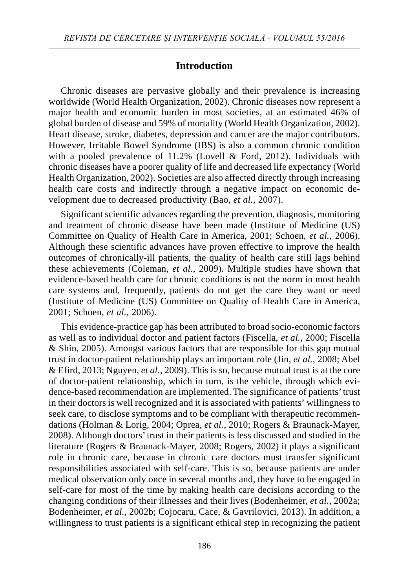### **Introduction**

Chronic diseases are pervasive globally and their prevalence is increasing worldwide (World Health Organization, 2002). Chronic diseases now represent a major health and economic burden in most societies, at an estimated 46% of global burden of disease and 59% of mortality (World Health Organization, 2002). Heart disease, stroke, diabetes, depression and cancer are the major contributors. However, Irritable Bowel Syndrome (IBS) is also a common chronic condition with a pooled prevalence of 11.2% (Lovell & Ford, 2012). Individuals with chronic diseases have a poorer quality of life and decreased life expectancy (World Health Organization, 2002). Societies are also affected directly through increasing health care costs and indirectly through a negative impact on economic development due to decreased productivity (Bao, *et al.*, 2007).

Significant scientific advances regarding the prevention, diagnosis, monitoring and treatment of chronic disease have been made (Institute of Medicine (US) Committee on Quality of Health Care in America, 2001; Schoen, *et al.*, 2006). Although these scientific advances have proven effective to improve the health outcomes of chronically-ill patients, the quality of health care still lags behind these achievements (Coleman, *et al.*, 2009). Multiple studies have shown that evidence-based health care for chronic conditions is not the norm in most health care systems and, frequently, patients do not get the care they want or need (Institute of Medicine (US) Committee on Quality of Health Care in America, 2001; Schoen, *et al.*, 2006).

This evidence-practice gap has been attributed to broad socio-economic factors as well as to individual doctor and patient factors (Fiscella, *et al.*, 2000; Fiscella  $\&$  Shin, 2005). Amongst various factors that are responsible for this gap mutual trust in doctor-patient relationship plays an important role (Jin, *et al.*, 2008; Abel & Efird, 2013; Nguyen, *et al.*, 2009). This is so, because mutual trust is at the core of doctor-patient relationship, which in turn, is the vehicle, through which evidence-based recommendation are implemented. The significance of patients' trust in their doctors is well recognized and it is associated with patients' willingness to seek care, to disclose symptoms and to be compliant with therapeutic recommendations (Holman & Lorig, 2004; Oprea, *et al.*, 2010; Rogers & Braunack-Mayer, 2008). Although doctors' trust in their patients is less discussed and studied in the literature (Rogers & Braunack-Mayer, 2008; Rogers, 2002) it plays a significant role in chronic care, because in chronic care doctors must transfer significant responsibilities associated with self-care. This is so, because patients are under medical observation only once in several months and, they have to be engaged in self-care for most of the time by making health care decisions according to the changing conditions of their illnesses and their lives (Bodenheimer, *et al.*, 2002a; Bodenheimer, *et al.*, 2002b; Cojocaru, Cace, & Gavrilovici, 2013). In addition, a willingness to trust patients is a significant ethical step in recognizing the patient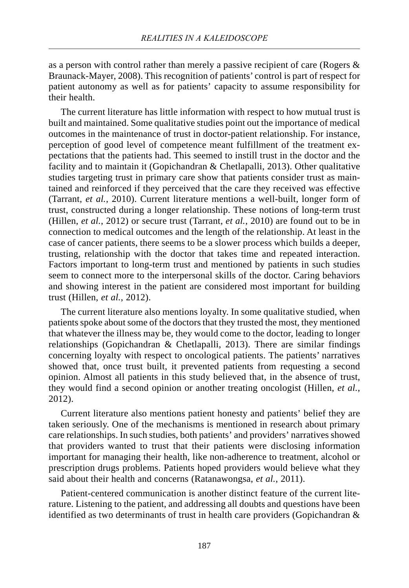as a person with control rather than merely a passive recipient of care (Rogers & Braunack-Mayer, 2008). This recognition of patients' control is part of respect for patient autonomy as well as for patients' capacity to assume responsibility for their health.

The current literature has little information with respect to how mutual trust is built and maintained. Some qualitative studies point out the importance of medical outcomes in the maintenance of trust in doctor-patient relationship. For instance, perception of good level of competence meant fulfillment of the treatment expectations that the patients had. This seemed to instill trust in the doctor and the facility and to maintain it (Gopichandran & Chetlapalli, 2013). Other qualitative studies targeting trust in primary care show that patients consider trust as maintained and reinforced if they perceived that the care they received was effective (Tarrant, *et al.*, 2010). Current literature mentions a well-built, longer form of trust, constructed during a longer relationship. These notions of long-term trust (Hillen, *et al.*, 2012) or secure trust (Tarrant, *et al.*, 2010) are found out to be in connection to medical outcomes and the length of the relationship. At least in the case of cancer patients, there seems to be a slower process which builds a deeper, trusting, relationship with the doctor that takes time and repeated interaction. Factors important to long-term trust and mentioned by patients in such studies seem to connect more to the interpersonal skills of the doctor. Caring behaviors and showing interest in the patient are considered most important for building trust (Hillen, *et al.*, 2012).

The current literature also mentions loyalty. In some qualitative studied, when patients spoke about some of the doctors that they trusted the most, they mentioned that whatever the illness may be, they would come to the doctor, leading to longer relationships (Gopichandran & Chetlapalli, 2013). There are similar findings concerning loyalty with respect to oncological patients. The patients' narratives showed that, once trust built, it prevented patients from requesting a second opinion. Almost all patients in this study believed that, in the absence of trust, they would find a second opinion or another treating oncologist (Hillen, *et al.*, 2012).

Current literature also mentions patient honesty and patients' belief they are taken seriously. One of the mechanisms is mentioned in research about primary care relationships. In such studies, both patients' and providers' narratives showed that providers wanted to trust that their patients were disclosing information important for managing their health, like non-adherence to treatment, alcohol or prescription drugs problems. Patients hoped providers would believe what they said about their health and concerns (Ratanawongsa, *et al.*, 2011).

Patient-centered communication is another distinct feature of the current literature. Listening to the patient, and addressing all doubts and questions have been identified as two determinants of trust in health care providers (Gopichandran &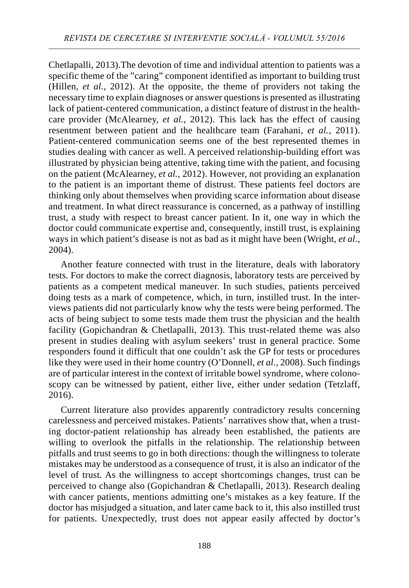Chetlapalli, 2013).The devotion of time and individual attention to patients was a specific theme of the "caring" component identified as important to building trust (Hillen, *et al.*, 2012). At the opposite, the theme of providers not taking the necessary time to explain diagnoses or answer questions is presented as illustrating lack of patient-centered communication, a distinct feature of distrust in the healthcare provider (McAlearney, *et al.*, 2012). This lack has the effect of causing resentment between patient and the healthcare team (Farahani, *et al.*, 2011). Patient-centered communication seems one of the best represented themes in studies dealing with cancer as well. A perceived relationship-building effort was illustrated by physician being attentive, taking time with the patient, and focusing on the patient (McAlearney, *et al.*, 2012). However, not providing an explanation to the patient is an important theme of distrust. These patients feel doctors are thinking only about themselves when providing scarce information about disease and treatment. In what direct reassurance is concerned, as a pathway of instilling trust, a study with respect to breast cancer patient. In it, one way in which the doctor could communicate expertise and, consequently, instill trust, is explaining ways in which patient's disease is not as bad as it might have been (Wright, *et al.*, 2004).

Another feature connected with trust in the literature, deals with laboratory tests. For doctors to make the correct diagnosis, laboratory tests are perceived by patients as a competent medical maneuver. In such studies, patients perceived doing tests as a mark of competence, which, in turn, instilled trust. In the interviews patients did not particularly know why the tests were being performed. The acts of being subject to some tests made them trust the physician and the health facility (Gopichandran & Chetlapalli, 2013). This trust-related theme was also present in studies dealing with asylum seekers' trust in general practice. Some responders found it difficult that one couldn't ask the GP for tests or procedures like they were used in their home country (O'Donnell, *et al.*, 2008). Such findings are of particular interest in the context of irritable bowel syndrome, where colonoscopy can be witnessed by patient, either live, either under sedation (Tetzlaff, 2016).

Current literature also provides apparently contradictory results concerning carelessness and perceived mistakes. Patients' narratives show that, when a trusting doctor-patient relationship has already been established, the patients are willing to overlook the pitfalls in the relationship. The relationship between pitfalls and trust seems to go in both directions: though the willingness to tolerate mistakes may be understood as a consequence of trust, it is also an indicator of the level of trust. As the willingness to accept shortcomings changes, trust can be perceived to change also (Gopichandran & Chetlapalli, 2013). Research dealing with cancer patients, mentions admitting one's mistakes as a key feature. If the doctor has misjudged a situation, and later came back to it, this also instilled trust for patients. Unexpectedly, trust does not appear easily affected by doctor's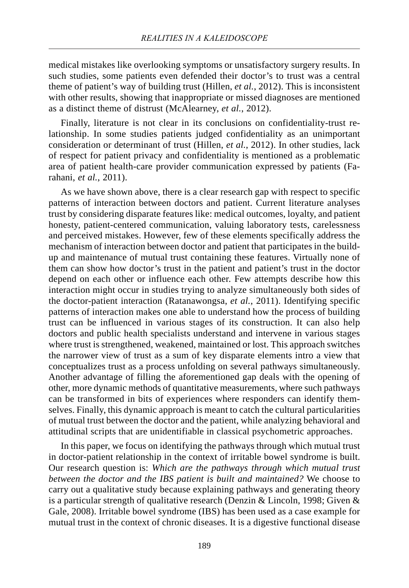medical mistakes like overlooking symptoms or unsatisfactory surgery results. In such studies, some patients even defended their doctor's to trust was a central theme of patient's way of building trust (Hillen, *et al.*, 2012). This is inconsistent with other results, showing that inappropriate or missed diagnoses are mentioned as a distinct theme of distrust (McAlearney, *et al.*, 2012).

Finally, literature is not clear in its conclusions on confidentiality-trust relationship. In some studies patients judged confidentiality as an unimportant consideration or determinant of trust (Hillen, *et al.*, 2012). In other studies, lack of respect for patient privacy and confidentiality is mentioned as a problematic area of patient health-care provider communication expressed by patients (Farahani, *et al.*, 2011).

As we have shown above, there is a clear research gap with respect to specific patterns of interaction between doctors and patient. Current literature analyses trust by considering disparate features like: medical outcomes, loyalty, and patient honesty, patient-centered communication, valuing laboratory tests, carelessness and perceived mistakes. However, few of these elements specifically address the mechanism of interaction between doctor and patient that participates in the buildup and maintenance of mutual trust containing these features. Virtually none of them can show how doctor's trust in the patient and patient's trust in the doctor depend on each other or influence each other. Few attempts describe how this interaction might occur in studies trying to analyze simultaneously both sides of the doctor-patient interaction (Ratanawongsa, *et al.*, 2011). Identifying specific patterns of interaction makes one able to understand how the process of building trust can be influenced in various stages of its construction. It can also help doctors and public health specialists understand and intervene in various stages where trust is strengthened, weakened, maintained or lost. This approach switches the narrower view of trust as a sum of key disparate elements intro a view that conceptualizes trust as a process unfolding on several pathways simultaneously. Another advantage of filling the aforementioned gap deals with the opening of other, more dynamic methods of quantitative measurements, where such pathways can be transformed in bits of experiences where responders can identify themselves. Finally, this dynamic approach is meant to catch the cultural particularities of mutual trust between the doctor and the patient, while analyzing behavioral and attitudinal scripts that are unidentifiable in classical psychometric approaches.

In this paper, we focus on identifying the pathways through which mutual trust in doctor-patient relationship in the context of irritable bowel syndrome is built. Our research question is: *Which are the pathways through which mutual trust between the doctor and the IBS patient is built and maintained?* We choose to carry out a qualitative study because explaining pathways and generating theory is a particular strength of qualitative research (Denzin & Lincoln, 1998; Given & Gale, 2008). Irritable bowel syndrome (IBS) has been used as a case example for mutual trust in the context of chronic diseases. It is a digestive functional disease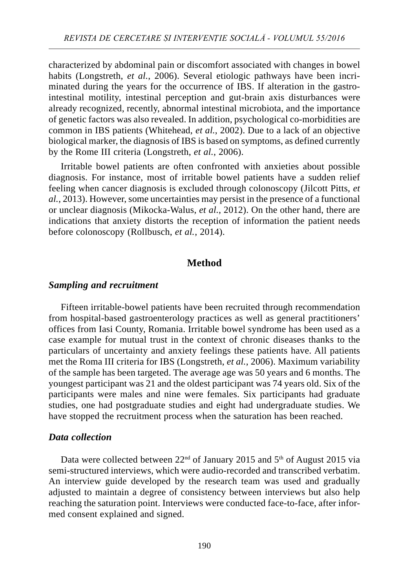characterized by abdominal pain or discomfort associated with changes in bowel habits (Longstreth, *et al.*, 2006). Several etiologic pathways have been incriminated during the years for the occurrence of IBS. If alteration in the gastrointestinal motility, intestinal perception and gut-brain axis disturbances were already recognized, recently, abnormal intestinal microbiota, and the importance of genetic factors was also revealed. In addition, psychological co-morbidities are common in IBS patients (Whitehead, *et al.*, 2002). Due to a lack of an objective biological marker, the diagnosis of IBS is based on symptoms, as defined currently by the Rome III criteria (Longstreth, *et al.*, 2006).

Irritable bowel patients are often confronted with anxieties about possible diagnosis. For instance, most of irritable bowel patients have a sudden relief feeling when cancer diagnosis is excluded through colonoscopy (Jilcott Pitts, *et al.*, 2013). However, some uncertainties may persist in the presence of a functional or unclear diagnosis (Mikocka-Walus, *et al.*, 2012). On the other hand, there are indications that anxiety distorts the reception of information the patient needs before colonoscopy (Rollbusch, *et al.*, 2014).

## **Method**

#### *Sampling and recruitment*

Fifteen irritable-bowel patients have been recruited through recommendation from hospital-based gastroenterology practices as well as general practitioners' offices from Iasi County, Romania. Irritable bowel syndrome has been used as a case example for mutual trust in the context of chronic diseases thanks to the particulars of uncertainty and anxiety feelings these patients have. All patients met the Roma III criteria for IBS (Longstreth, *et al.*, 2006). Maximum variability of the sample has been targeted. The average age was 50 years and 6 months. The youngest participant was 21 and the oldest participant was 74 years old. Six of the participants were males and nine were females. Six participants had graduate studies, one had postgraduate studies and eight had undergraduate studies. We have stopped the recruitment process when the saturation has been reached.

#### *Data collection*

Data were collected between  $22<sup>nd</sup>$  of January 2015 and  $5<sup>th</sup>$  of August 2015 via semi-structured interviews, which were audio-recorded and transcribed verbatim. An interview guide developed by the research team was used and gradually adjusted to maintain a degree of consistency between interviews but also help reaching the saturation point. Interviews were conducted face-to-face, after informed consent explained and signed.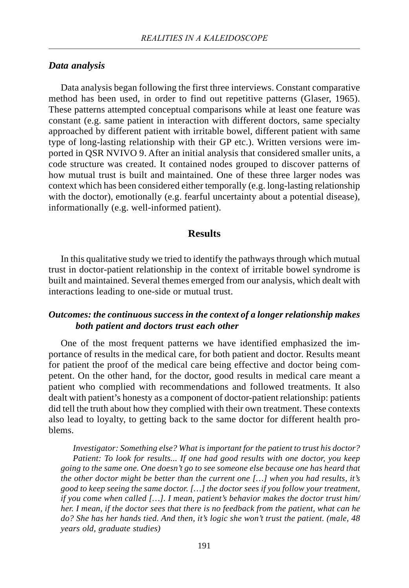### *Data analysis*

Data analysis began following the first three interviews. Constant comparative method has been used, in order to find out repetitive patterns (Glaser, 1965). These patterns attempted conceptual comparisons while at least one feature was constant (e.g. same patient in interaction with different doctors, same specialty approached by different patient with irritable bowel, different patient with same type of long-lasting relationship with their GP etc.). Written versions were imported in QSR NVIVO 9. After an initial analysis that considered smaller units, a code structure was created. It contained nodes grouped to discover patterns of how mutual trust is built and maintained. One of these three larger nodes was context which has been considered either temporally (e.g. long-lasting relationship with the doctor), emotionally (e.g. fearful uncertainty about a potential disease), informationally (e.g. well-informed patient).

#### **Results**

In this qualitative study we tried to identify the pathways through which mutual trust in doctor-patient relationship in the context of irritable bowel syndrome is built and maintained. Several themes emerged from our analysis, which dealt with interactions leading to one-side or mutual trust.

## *Outcomes: the continuous success in the context of a longer relationship makes both patient and doctors trust each other*

One of the most frequent patterns we have identified emphasized the importance of results in the medical care, for both patient and doctor. Results meant for patient the proof of the medical care being effective and doctor being competent. On the other hand, for the doctor, good results in medical care meant a patient who complied with recommendations and followed treatments. It also dealt with patient's honesty as a component of doctor-patient relationship: patients did tell the truth about how they complied with their own treatment. These contexts also lead to loyalty, to getting back to the same doctor for different health problems.

*Investigator: Something else? What is important for the patient to trust his doctor? Patient: To look for results... If one had good results with one doctor, you keep going to the same one. One doesn't go to see someone else because one has heard that the other doctor might be better than the current one […] when you had results, it's good to keep seeing the same doctor. […] the doctor sees if you follow your treatment, if you come when called […]. I mean, patient's behavior makes the doctor trust him/ her. I mean, if the doctor sees that there is no feedback from the patient, what can he do? She has her hands tied. And then, it's logic she won't trust the patient. (male, 48 years old, graduate studies)*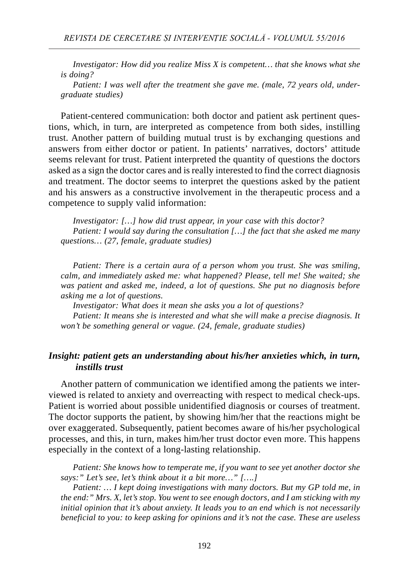*Investigator: How did you realize Miss X is competent… that she knows what she is doing?*

*Patient: I was well after the treatment she gave me. (male, 72 years old, undergraduate studies)*

Patient-centered communication: both doctor and patient ask pertinent questions, which, in turn, are interpreted as competence from both sides, instilling trust. Another pattern of building mutual trust is by exchanging questions and answers from either doctor or patient. In patients' narratives, doctors' attitude seems relevant for trust. Patient interpreted the quantity of questions the doctors asked as a sign the doctor cares and is really interested to find the correct diagnosis and treatment. The doctor seems to interpret the questions asked by the patient and his answers as a constructive involvement in the therapeutic process and a competence to supply valid information:

*Investigator: […] how did trust appear, in your case with this doctor? Patient: I would say during the consultation […] the fact that she asked me many questions… (27, female, graduate studies)*

*Patient: There is a certain aura of a person whom you trust. She was smiling, calm, and immediately asked me: what happened? Please, tell me! She waited; she was patient and asked me, indeed, a lot of questions. She put no diagnosis before asking me a lot of questions.*

*Investigator: What does it mean she asks you a lot of questions?*

*Patient: It means she is interested and what she will make a precise diagnosis. It won't be something general or vague. (24, female, graduate studies)*

## *Insight: patient gets an understanding about his/her anxieties which, in turn, instills trust*

Another pattern of communication we identified among the patients we interviewed is related to anxiety and overreacting with respect to medical check-ups. Patient is worried about possible unidentified diagnosis or courses of treatment. The doctor supports the patient, by showing him/her that the reactions might be over exaggerated. Subsequently, patient becomes aware of his/her psychological processes, and this, in turn, makes him/her trust doctor even more. This happens especially in the context of a long-lasting relationship.

*Patient: She knows how to temperate me, if you want to see yet another doctor she says:" Let's see, let's think about it a bit more…" [….]*

*Patient: … I kept doing investigations with many doctors. But my GP told me, in the end:" Mrs. X, let's stop. You went to see enough doctors, and I am sticking with my initial opinion that it's about anxiety. It leads you to an end which is not necessarily beneficial to you: to keep asking for opinions and it's not the case. These are useless*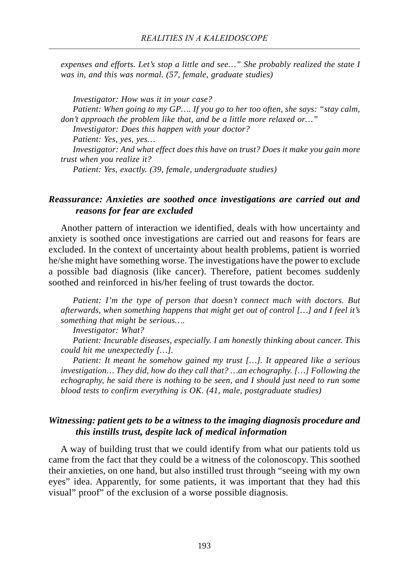*expenses and efforts. Let's stop a little and see…" She probably realized the state I was in, and this was normal. (57, female, graduate studies)*

*Investigator: How was it in your case? Patient: When going to my GP…. If you go to her too often, she says: "stay calm, don't approach the problem like that, and be a little more relaxed or…" Investigator: Does this happen with your doctor? Patient: Yes, yes, yes… Investigator: And what effect does this have on trust? Does it make you gain more trust when you realize it?*

*Patient: Yes, exactly. (39, female, undergraduate studies)*

## *Reassurance: Anxieties are soothed once investigations are carried out and reasons for fear are excluded*

Another pattern of interaction we identified, deals with how uncertainty and anxiety is soothed once investigations are carried out and reasons for fears are excluded. In the context of uncertainty about health problems, patient is worried he/she might have something worse. The investigations have the power to exclude a possible bad diagnosis (like cancer). Therefore, patient becomes suddenly soothed and reinforced in his/her feeling of trust towards the doctor.

*Patient: I'm the type of person that doesn't connect much with doctors. But afterwards, when something happens that might get out of control […] and I feel it's something that might be serious….*

*Investigator: What?*

*Patient: Incurable diseases, especially. I am honestly thinking about cancer. This could hit me unexpectedly […].*

*Patient: It meant he somehow gained my trust […]. It appeared like a serious investigation… They did, how do they call that? …an echography. […] Following the echography, he said there is nothing to be seen, and I should just need to run some blood tests to confirm everything is OK. (41, male, postgraduate studies)*

## *Witnessing: patient gets to be a witness to the imaging diagnosis procedure and this instills trust, despite lack of medical information*

A way of building trust that we could identify from what our patients told us came from the fact that they could be a witness of the colonoscopy. This soothed their anxieties, on one hand, but also instilled trust through "seeing with my own eyes" idea. Apparently, for some patients, it was important that they had this visual" proof" of the exclusion of a worse possible diagnosis.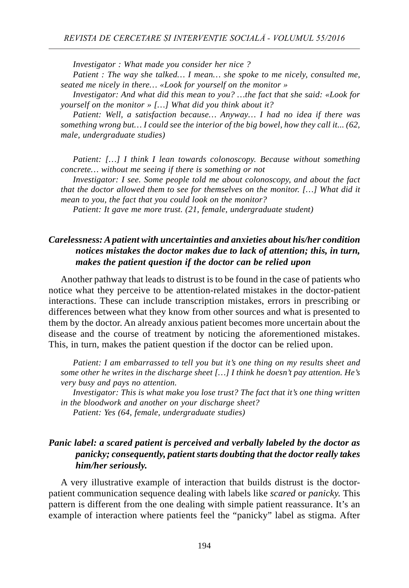*Investigator : What made you consider her nice ?*

*Patient : The way she talked… I mean… she spoke to me nicely, consulted me, seated me nicely in there… «Look for yourself on the monitor »*

*Investigator: And what did this mean to you? …the fact that she said: «Look for yourself on the monitor » […] What did you think about it?*

*Patient: Well, a satisfaction because… Anyway… I had no idea if there was something wrong but… I could see the interior of the big bowel, how they call it... (62, male, undergraduate studies)*

*Patient: […] I think I lean towards colonoscopy. Because without something concrete… without me seeing if there is something or not*

*Investigator: I see. Some people told me about colonoscopy, and about the fact that the doctor allowed them to see for themselves on the monitor. […] What did it mean to you, the fact that you could look on the monitor?*

*Patient: It gave me more trust. (21, female, undergraduate student)*

## *Carelessness: A patient with uncertainties and anxieties about his/her condition notices mistakes the doctor makes due to lack of attention; this, in turn, makes the patient question if the doctor can be relied upon*

Another pathway that leads to distrust is to be found in the case of patients who notice what they perceive to be attention-related mistakes in the doctor-patient interactions. These can include transcription mistakes, errors in prescribing or differences between what they know from other sources and what is presented to them by the doctor. An already anxious patient becomes more uncertain about the disease and the course of treatment by noticing the aforementioned mistakes. This, in turn, makes the patient question if the doctor can be relied upon.

*Patient: I am embarrassed to tell you but it's one thing on my results sheet and some other he writes in the discharge sheet […] I think he doesn't pay attention. He's very busy and pays no attention.*

*Investigator: This is what make you lose trust? The fact that it's one thing written in the bloodwork and another on your discharge sheet?*

*Patient: Yes (64, female, undergraduate studies)*

## *Panic label: a scared patient is perceived and verbally labeled by the doctor as panicky; consequently, patient starts doubting that the doctor really takes him/her seriously.*

A very illustrative example of interaction that builds distrust is the doctorpatient communication sequence dealing with labels like *scared* or *panicky.* This pattern is different from the one dealing with simple patient reassurance. It's an example of interaction where patients feel the "panicky" label as stigma. After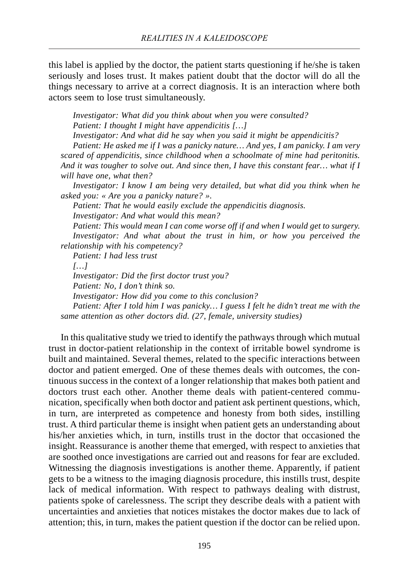this label is applied by the doctor, the patient starts questioning if he/she is taken seriously and loses trust. It makes patient doubt that the doctor will do all the things necessary to arrive at a correct diagnosis. It is an interaction where both actors seem to lose trust simultaneously.

*Investigator: What did you think about when you were consulted? Patient: I thought I might have appendicitis […]*

*Investigator: And what did he say when you said it might be appendicitis?*

*Patient: He asked me if I was a panicky nature… And yes, I am panicky. I am very scared of appendicitis, since childhood when a schoolmate of mine had peritonitis. And it was tougher to solve out. And since then, I have this constant fear… what if I will have one, what then?*

*Investigator: I know I am being very detailed, but what did you think when he asked you: « Are you a panicky nature? ».*

*Patient: That he would easily exclude the appendicitis diagnosis.*

*Investigator: And what would this mean?*

*Patient: This would mean I can come worse off if and when I would get to surgery. Investigator: And what about the trust in him, or how you perceived the relationship with his competency?*

*Patient: I had less trust*

*[…] Investigator: Did the first doctor trust you? Patient: No, I don't think so. Investigator: How did you come to this conclusion? Patient: After I told him I was panicky… I guess I felt he didn't treat me with the same attention as other doctors did. (27, female, university studies)*

In this qualitative study we tried to identify the pathways through which mutual trust in doctor-patient relationship in the context of irritable bowel syndrome is built and maintained. Several themes, related to the specific interactions between doctor and patient emerged. One of these themes deals with outcomes, the continuous success in the context of a longer relationship that makes both patient and doctors trust each other. Another theme deals with patient-centered communication, specifically when both doctor and patient ask pertinent questions, which, in turn, are interpreted as competence and honesty from both sides, instilling trust. A third particular theme is insight when patient gets an understanding about his/her anxieties which, in turn, instills trust in the doctor that occasioned the insight. Reassurance is another theme that emerged, with respect to anxieties that are soothed once investigations are carried out and reasons for fear are excluded. Witnessing the diagnosis investigations is another theme. Apparently, if patient gets to be a witness to the imaging diagnosis procedure, this instills trust, despite lack of medical information. With respect to pathways dealing with distrust, patients spoke of carelessness. The script they describe deals with a patient with uncertainties and anxieties that notices mistakes the doctor makes due to lack of attention; this, in turn, makes the patient question if the doctor can be relied upon.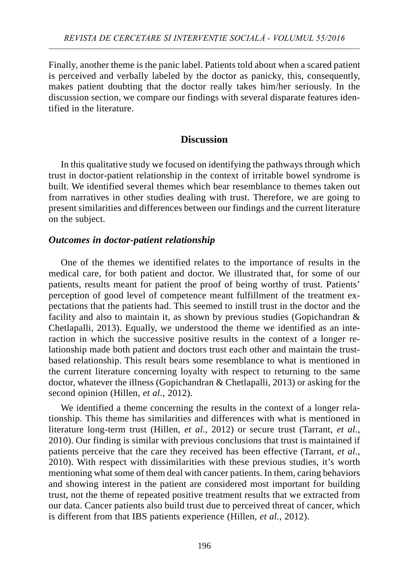Finally, another theme is the panic label. Patients told about when a scared patient is perceived and verbally labeled by the doctor as panicky, this, consequently, makes patient doubting that the doctor really takes him/her seriously. In the discussion section, we compare our findings with several disparate features identified in the literature.

## **Discussion**

In this qualitative study we focused on identifying the pathways through which trust in doctor-patient relationship in the context of irritable bowel syndrome is built. We identified several themes which bear resemblance to themes taken out from narratives in other studies dealing with trust. Therefore, we are going to present similarities and differences between our findings and the current literature on the subject.

#### *Outcomes in doctor-patient relationship*

One of the themes we identified relates to the importance of results in the medical care, for both patient and doctor. We illustrated that, for some of our patients, results meant for patient the proof of being worthy of trust. Patients' perception of good level of competence meant fulfillment of the treatment expectations that the patients had. This seemed to instill trust in the doctor and the facility and also to maintain it, as shown by previous studies (Gopichandran & Chetlapalli, 2013). Equally, we understood the theme we identified as an interaction in which the successive positive results in the context of a longer relationship made both patient and doctors trust each other and maintain the trustbased relationship. This result bears some resemblance to what is mentioned in the current literature concerning loyalty with respect to returning to the same doctor, whatever the illness (Gopichandran & Chetlapalli, 2013) or asking for the second opinion (Hillen, *et al.*, 2012).

We identified a theme concerning the results in the context of a longer relationship. This theme has similarities and differences with what is mentioned in literature long-term trust (Hillen, *et al.*, 2012) or secure trust (Tarrant, *et al.*, 2010). Our finding is similar with previous conclusions that trust is maintained if patients perceive that the care they received has been effective (Tarrant, *et al.*, 2010). With respect with dissimilarities with these previous studies, it's worth mentioning what some of them deal with cancer patients. In them, caring behaviors and showing interest in the patient are considered most important for building trust, not the theme of repeated positive treatment results that we extracted from our data. Cancer patients also build trust due to perceived threat of cancer, which is different from that IBS patients experience (Hillen, *et al.*, 2012).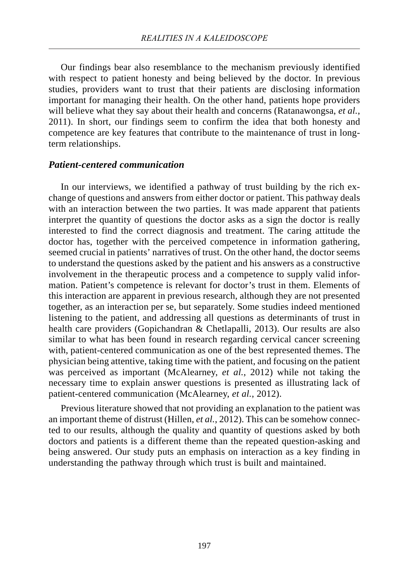Our findings bear also resemblance to the mechanism previously identified with respect to patient honesty and being believed by the doctor. In previous studies, providers want to trust that their patients are disclosing information important for managing their health. On the other hand, patients hope providers will believe what they say about their health and concerns (Ratanawongsa, *et al.*, 2011). In short, our findings seem to confirm the idea that both honesty and competence are key features that contribute to the maintenance of trust in longterm relationships.

### *Patient-centered communication*

In our interviews, we identified a pathway of trust building by the rich exchange of questions and answers from either doctor or patient. This pathway deals with an interaction between the two parties. It was made apparent that patients interpret the quantity of questions the doctor asks as a sign the doctor is really interested to find the correct diagnosis and treatment. The caring attitude the doctor has, together with the perceived competence in information gathering, seemed crucial in patients' narratives of trust. On the other hand, the doctor seems to understand the questions asked by the patient and his answers as a constructive involvement in the therapeutic process and a competence to supply valid information. Patient's competence is relevant for doctor's trust in them. Elements of this interaction are apparent in previous research, although they are not presented together, as an interaction per se, but separately. Some studies indeed mentioned listening to the patient, and addressing all questions as determinants of trust in health care providers (Gopichandran & Chetlapalli, 2013). Our results are also similar to what has been found in research regarding cervical cancer screening with, patient-centered communication as one of the best represented themes. The physician being attentive, taking time with the patient, and focusing on the patient was perceived as important (McAlearney, *et al.*, 2012) while not taking the necessary time to explain answer questions is presented as illustrating lack of patient-centered communication (McAlearney, *et al.*, 2012).

Previous literature showed that not providing an explanation to the patient was an important theme of distrust (Hillen, *et al.*, 2012). This can be somehow connected to our results, although the quality and quantity of questions asked by both doctors and patients is a different theme than the repeated question-asking and being answered. Our study puts an emphasis on interaction as a key finding in understanding the pathway through which trust is built and maintained.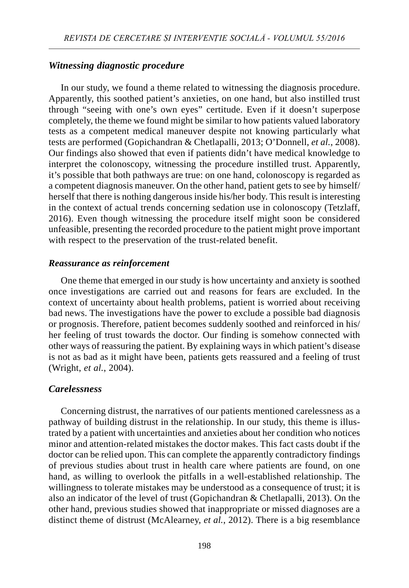## *Witnessing diagnostic procedure*

In our study, we found a theme related to witnessing the diagnosis procedure. Apparently, this soothed patient's anxieties, on one hand, but also instilled trust through "seeing with one's own eyes" certitude. Even if it doesn't superpose completely, the theme we found might be similar to how patients valued laboratory tests as a competent medical maneuver despite not knowing particularly what tests are performed (Gopichandran & Chetlapalli, 2013; O'Donnell, *et al.*, 2008). Our findings also showed that even if patients didn't have medical knowledge to interpret the colonoscopy, witnessing the procedure instilled trust. Apparently, it's possible that both pathways are true: on one hand, colonoscopy is regarded as a competent diagnosis maneuver. On the other hand, patient gets to see by himself/ herself that there is nothing dangerous inside his/her body. This result is interesting in the context of actual trends concerning sedation use in colonoscopy (Tetzlaff, 2016). Even though witnessing the procedure itself might soon be considered unfeasible, presenting the recorded procedure to the patient might prove important with respect to the preservation of the trust-related benefit.

#### *Reassurance as reinforcement*

One theme that emerged in our study is how uncertainty and anxiety is soothed once investigations are carried out and reasons for fears are excluded. In the context of uncertainty about health problems, patient is worried about receiving bad news. The investigations have the power to exclude a possible bad diagnosis or prognosis. Therefore, patient becomes suddenly soothed and reinforced in his/ her feeling of trust towards the doctor. Our finding is somehow connected with other ways of reassuring the patient. By explaining ways in which patient's disease is not as bad as it might have been, patients gets reassured and a feeling of trust (Wright, *et al.*, 2004).

### *Carelessness*

Concerning distrust, the narratives of our patients mentioned carelessness as a pathway of building distrust in the relationship. In our study, this theme is illustrated by a patient with uncertainties and anxieties about her condition who notices minor and attention-related mistakes the doctor makes. This fact casts doubt if the doctor can be relied upon. This can complete the apparently contradictory findings of previous studies about trust in health care where patients are found, on one hand, as willing to overlook the pitfalls in a well-established relationship. The willingness to tolerate mistakes may be understood as a consequence of trust; it is also an indicator of the level of trust (Gopichandran & Chetlapalli, 2013). On the other hand, previous studies showed that inappropriate or missed diagnoses are a distinct theme of distrust (McAlearney, *et al.*, 2012). There is a big resemblance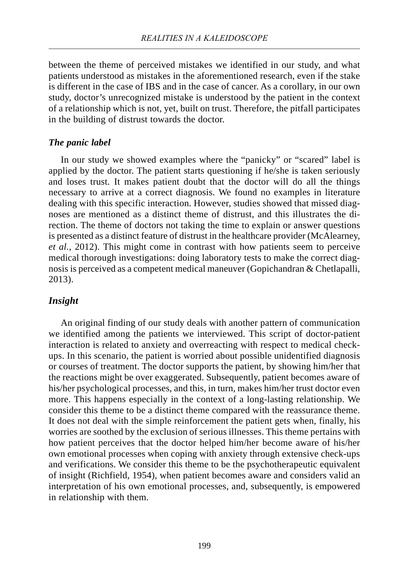between the theme of perceived mistakes we identified in our study, and what patients understood as mistakes in the aforementioned research, even if the stake is different in the case of IBS and in the case of cancer. As a corollary, in our own study, doctor's unrecognized mistake is understood by the patient in the context of a relationship which is not, yet, built on trust. Therefore, the pitfall participates in the building of distrust towards the doctor.

#### *The panic label*

In our study we showed examples where the "panicky" or "scared" label is applied by the doctor. The patient starts questioning if he/she is taken seriously and loses trust. It makes patient doubt that the doctor will do all the things necessary to arrive at a correct diagnosis. We found no examples in literature dealing with this specific interaction. However, studies showed that missed diagnoses are mentioned as a distinct theme of distrust, and this illustrates the direction. The theme of doctors not taking the time to explain or answer questions is presented as a distinct feature of distrust in the healthcare provider (McAlearney, *et al.*, 2012). This might come in contrast with how patients seem to perceive medical thorough investigations: doing laboratory tests to make the correct diagnosis is perceived as a competent medical maneuver (Gopichandran & Chetlapalli, 2013).

#### *Insight*

An original finding of our study deals with another pattern of communication we identified among the patients we interviewed. This script of doctor-patient interaction is related to anxiety and overreacting with respect to medical checkups. In this scenario, the patient is worried about possible unidentified diagnosis or courses of treatment. The doctor supports the patient, by showing him/her that the reactions might be over exaggerated. Subsequently, patient becomes aware of his/her psychological processes, and this, in turn, makes him/her trust doctor even more. This happens especially in the context of a long-lasting relationship. We consider this theme to be a distinct theme compared with the reassurance theme. It does not deal with the simple reinforcement the patient gets when, finally, his worries are soothed by the exclusion of serious illnesses. This theme pertains with how patient perceives that the doctor helped him/her become aware of his/her own emotional processes when coping with anxiety through extensive check-ups and verifications. We consider this theme to be the psychotherapeutic equivalent of insight (Richfield, 1954), when patient becomes aware and considers valid an interpretation of his own emotional processes, and, subsequently, is empowered in relationship with them.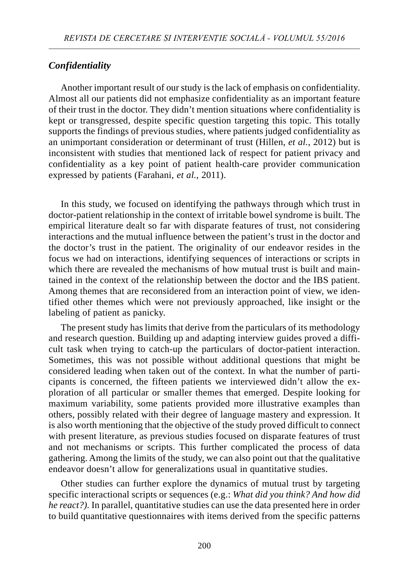## *Confidentiality*

Another important result of our study is the lack of emphasis on confidentiality. Almost all our patients did not emphasize confidentiality as an important feature of their trust in the doctor. They didn't mention situations where confidentiality is kept or transgressed, despite specific question targeting this topic. This totally supports the findings of previous studies, where patients judged confidentiality as an unimportant consideration or determinant of trust (Hillen, *et al.*, 2012) but is inconsistent with studies that mentioned lack of respect for patient privacy and confidentiality as a key point of patient health-care provider communication expressed by patients (Farahani, *et al.*, 2011).

In this study, we focused on identifying the pathways through which trust in doctor-patient relationship in the context of irritable bowel syndrome is built. The empirical literature dealt so far with disparate features of trust, not considering interactions and the mutual influence between the patient's trust in the doctor and the doctor's trust in the patient. The originality of our endeavor resides in the focus we had on interactions, identifying sequences of interactions or scripts in which there are revealed the mechanisms of how mutual trust is built and maintained in the context of the relationship between the doctor and the IBS patient. Among themes that are reconsidered from an interaction point of view, we identified other themes which were not previously approached, like insight or the labeling of patient as panicky.

The present study has limits that derive from the particulars of its methodology and research question. Building up and adapting interview guides proved a difficult task when trying to catch-up the particulars of doctor-patient interaction. Sometimes, this was not possible without additional questions that might be considered leading when taken out of the context. In what the number of participants is concerned, the fifteen patients we interviewed didn't allow the exploration of all particular or smaller themes that emerged. Despite looking for maximum variability, some patients provided more illustrative examples than others, possibly related with their degree of language mastery and expression. It is also worth mentioning that the objective of the study proved difficult to connect with present literature, as previous studies focused on disparate features of trust and not mechanisms or scripts. This further complicated the process of data gathering. Among the limits of the study, we can also point out that the qualitative endeavor doesn't allow for generalizations usual in quantitative studies.

Other studies can further explore the dynamics of mutual trust by targeting specific interactional scripts or sequences (e.g.: *What did you think? And how did he react?).* In parallel, quantitative studies can use the data presented here in order to build quantitative questionnaires with items derived from the specific patterns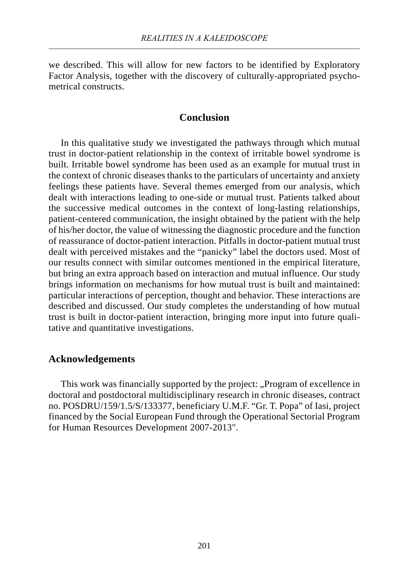we described. This will allow for new factors to be identified by Exploratory Factor Analysis, together with the discovery of culturally-appropriated psychometrical constructs.

## **Conclusion**

In this qualitative study we investigated the pathways through which mutual trust in doctor-patient relationship in the context of irritable bowel syndrome is built. Irritable bowel syndrome has been used as an example for mutual trust in the context of chronic diseases thanks to the particulars of uncertainty and anxiety feelings these patients have. Several themes emerged from our analysis, which dealt with interactions leading to one-side or mutual trust. Patients talked about the successive medical outcomes in the context of long-lasting relationships, patient-centered communication, the insight obtained by the patient with the help of his/her doctor, the value of witnessing the diagnostic procedure and the function of reassurance of doctor-patient interaction. Pitfalls in doctor-patient mutual trust dealt with perceived mistakes and the "panicky" label the doctors used. Most of our results connect with similar outcomes mentioned in the empirical literature, but bring an extra approach based on interaction and mutual influence. Our study brings information on mechanisms for how mutual trust is built and maintained: particular interactions of perception, thought and behavior. These interactions are described and discussed. Our study completes the understanding of how mutual trust is built in doctor-patient interaction, bringing more input into future qualitative and quantitative investigations.

### **Acknowledgements**

This work was financially supported by the project: "Program of excellence in doctoral and postdoctoral multidisciplinary research in chronic diseases, contract no. POSDRU/159/1.5/S/133377, beneficiary U.M.F. "Gr. T. Popa" of Iasi, project financed by the Social European Fund through the Operational Sectorial Program for Human Resources Development 2007-2013".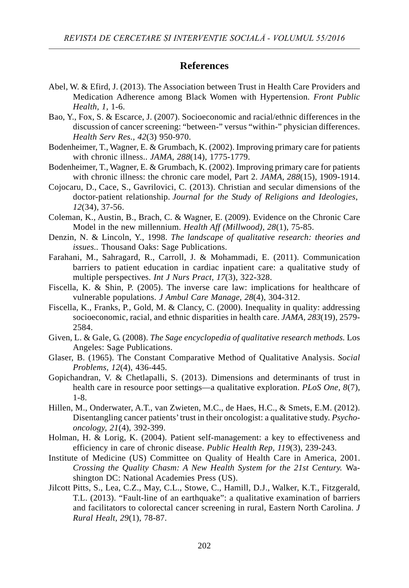#### **References**

- Abel, W. & Efird, J. (2013). The Association between Trust in Health Care Providers and Medication Adherence among Black Women with Hypertension. *Front Public Health, 1*, 1-6.
- Bao, Y., Fox, S. & Escarce, J. (2007). Socioeconomic and racial/ethnic differences in the discussion of cancer screening: "between-" versus "within-" physician differences. *Health Serv Res., 42*(3) 950-970.
- Bodenheimer, T., Wagner, E. & Grumbach, K. (2002). Improving primary care for patients with chronic illness.. *JAMA, 288*(14), 1775-1779.
- Bodenheimer, T., Wagner, E. & Grumbach, K. (2002). Improving primary care for patients with chronic illness: the chronic care model, Part 2. *JAMA, 288*(15), 1909-1914.
- Cojocaru, D., Cace, S., Gavrilovici, C. (2013). Christian and secular dimensions of the doctor-patient relationship. *Journal for the Study of Religions and Ideologies*, *12*(34), 37-56.
- Coleman, K., Austin, B., Brach, C. & Wagner, E. (2009). Evidence on the Chronic Care Model in the new millennium. *Health Aff (Millwood), 28*(1), 75-85.
- Denzin, N. & Lincoln, Y., 1998. *The landscape of qualitative research: theories and issues..* Thousand Oaks: Sage Publications.
- Farahani, M., Sahragard, R., Carroll, J. & Mohammadi, E. (2011). Communication barriers to patient education in cardiac inpatient care: a qualitative study of multiple perspectives. *Int J Nurs Pract, 17*(3), 322-328.
- Fiscella, K. & Shin, P. (2005). The inverse care law: implications for healthcare of vulnerable populations. *J Ambul Care Manage, 28*(4), 304-312.
- Fiscella, K., Franks, P., Gold, M. & Clancy, C. (2000). Inequality in quality: addressing socioeconomic, racial, and ethnic disparities in health care. *JAMA, 283*(19), 2579- 2584.
- Given, L. & Gale, G. (2008). *The Sage encyclopedia of qualitative research methods.* Los Angeles: Sage Publications.
- Glaser, B. (1965). The Constant Comparative Method of Qualitative Analysis. *Social Problems, 12*(4), 436-445.
- Gopichandran, V. & Chetlapalli, S. (2013). Dimensions and determinants of trust in health care in resource poor settings—a qualitative exploration. *PLoS One, 8*(7), 1-8.
- Hillen, M., Onderwater, A.T., van Zwieten, M.C., de Haes, H.C., & Smets, E.M. (2012). Disentangling cancer patients' trust in their oncologist: a qualitative study. *Psychooncology, 21*(4), 392-399.
- Holman, H. & Lorig, K. (2004). Patient self-management: a key to effectiveness and efficiency in care of chronic disease. *Public Health Rep, 119*(3), 239-243.
- Institute of Medicine (US) Committee on Quality of Health Care in America, 2001. *Crossing the Quality Chasm: A New Health System for the 21st Century.* Washington DC: National Academies Press (US).
- Jilcott Pitts, S., Lea, C.Z., May, C.L., Stowe, C., Hamill, D.J., Walker, K.T., Fitzgerald, T.L. (2013). "Fault-line of an earthquake": a qualitative examination of barriers and facilitators to colorectal cancer screening in rural, Eastern North Carolina. *J Rural Healt, 29*(1), 78-87.